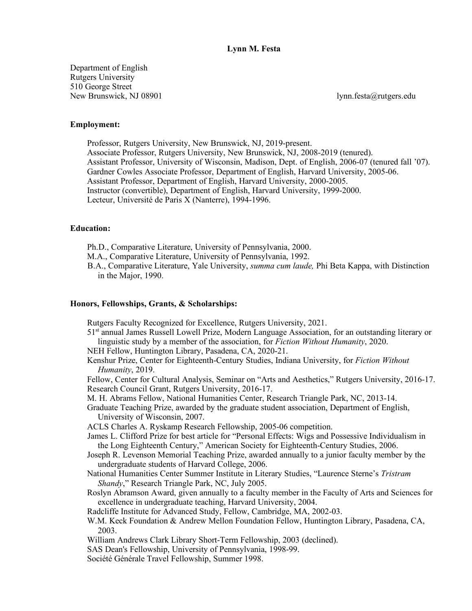## **Lynn M. Festa**

Department of English Rutgers University 510 George Street New Brunswick, NJ 08901 lynn.festa@rutgers.edu

## **Employment:**

Professor, Rutgers University, New Brunswick, NJ, 2019-present. Associate Professor, Rutgers University, New Brunswick, NJ, 2008-2019 (tenured). Assistant Professor, University of Wisconsin, Madison, Dept. of English, 2006-07 (tenured fall '07). Gardner Cowles Associate Professor, Department of English, Harvard University, 2005-06. Assistant Professor, Department of English, Harvard University, 2000-2005. Instructor (convertible), Department of English, Harvard University, 1999-2000. Lecteur, Université de Paris X (Nanterre), 1994-1996.

#### **Education:**

- Ph.D., Comparative Literature, University of Pennsylvania, 2000.
- M.A., Comparative Literature, University of Pennsylvania, 1992.
- B.A., Comparative Literature, Yale University, *summa cum laude,* Phi Beta Kappa, with Distinction in the Major, 1990.

#### **Honors, Fellowships, Grants, & Scholarships:**

Rutgers Faculty Recognized for Excellence, Rutgers University, 2021.

- 51st annual James Russell Lowell Prize, Modern Language Association, for an outstanding literary or linguistic study by a member of the association, for *Fiction Without Humanity*, 2020.
- NEH Fellow, Huntington Library, Pasadena, CA, 2020-21.
- Kenshur Prize, Center for Eighteenth-Century Studies, Indiana University, for *Fiction Without Humanity*, 2019.

Fellow, Center for Cultural Analysis, Seminar on "Arts and Aesthetics," Rutgers University, 2016-17. Research Council Grant, Rutgers University, 2016-17.

M. H. Abrams Fellow, National Humanities Center, Research Triangle Park, NC, 2013-14.

Graduate Teaching Prize, awarded by the graduate student association, Department of English, University of Wisconsin, 2007.

ACLS Charles A. Ryskamp Research Fellowship, 2005-06 competition.

- James L. Clifford Prize for best article for "Personal Effects: Wigs and Possessive Individualism in the Long Eighteenth Century," American Society for Eighteenth-Century Studies, 2006.
- Joseph R. Levenson Memorial Teaching Prize, awarded annually to a junior faculty member by the undergraduate students of Harvard College, 2006.
- National Humanities Center Summer Institute in Literary Studies, "Laurence Sterne's *Tristram Shandy*," Research Triangle Park, NC, July 2005.
- Roslyn Abramson Award, given annually to a faculty member in the Faculty of Arts and Sciences for excellence in undergraduate teaching, Harvard University, 2004.
- Radcliffe Institute for Advanced Study, Fellow, Cambridge, MA, 2002-03.
- W.M. Keck Foundation & Andrew Mellon Foundation Fellow, Huntington Library, Pasadena, CA, 2003.
- William Andrews Clark Library Short-Term Fellowship, 2003 (declined).
- SAS Dean's Fellowship, University of Pennsylvania, 1998-99.
- Société Générale Travel Fellowship, Summer 1998.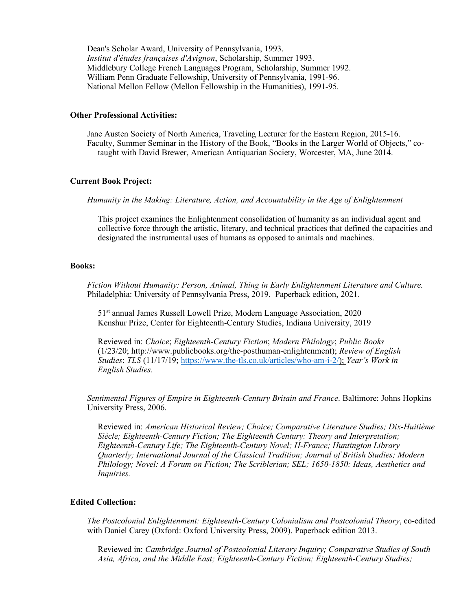Dean's Scholar Award, University of Pennsylvania, 1993. *Institut d'études françaises d'Avignon*, Scholarship, Summer 1993. Middlebury College French Languages Program, Scholarship, Summer 1992. William Penn Graduate Fellowship, University of Pennsylvania, 1991-96. National Mellon Fellow (Mellon Fellowship in the Humanities), 1991-95.

# **Other Professional Activities:**

Jane Austen Society of North America, Traveling Lecturer for the Eastern Region, 2015-16. Faculty, Summer Seminar in the History of the Book, "Books in the Larger World of Objects," cotaught with David Brewer, American Antiquarian Society, Worcester, MA, June 2014.

#### **Current Book Project:**

*Humanity in the Making: Literature, Action, and Accountability in the Age of Enlightenment*

This project examines the Enlightenment consolidation of humanity as an individual agent and collective force through the artistic, literary, and technical practices that defined the capacities and designated the instrumental uses of humans as opposed to animals and machines.

#### **Books:**

*Fiction Without Humanity: Person, Animal, Thing in Early Enlightenment Literature and Culture.* Philadelphia: University of Pennsylvania Press, 2019. Paperback edition, 2021.

51st annual James Russell Lowell Prize, Modern Language Association, 2020 Kenshur Prize, Center for Eighteenth-Century Studies, Indiana University, 2019

Reviewed in: *Choice*; *Eighteenth-Century Fiction*; *Modern Philology*; *Public Books* (1/23/20; http://www.publicbooks.org/the-posthuman-enlightenment); *Review of English Studies*; *TLS* (11/17/19; https://www.the-tls.co.uk/articles/who-am-i-2/); *Year's Work in English Studies.*

*Sentimental Figures of Empire in Eighteenth-Century Britain and France*. Baltimore: Johns Hopkins University Press, 2006.

Reviewed in: *American Historical Review; Choice; Comparative Literature Studies; Dix-Huitième Siècle; Eighteenth-Century Fiction; The Eighteenth Century: Theory and Interpretation; Eighteenth-Century Life; The Eighteenth-Century Novel; H-France; Huntington Library Quarterly; International Journal of the Classical Tradition; Journal of British Studies; Modern Philology; Novel: A Forum on Fiction; The Scriblerian; SEL; 1650-1850: Ideas, Aesthetics and Inquiries.*

# **Edited Collection:**

*The Postcolonial Enlightenment: Eighteenth-Century Colonialism and Postcolonial Theory*, co-edited with Daniel Carey (Oxford: Oxford University Press, 2009). Paperback edition 2013.

Reviewed in: *Cambridge Journal of Postcolonial Literary Inquiry; Comparative Studies of South Asia, Africa, and the Middle East; Eighteenth-Century Fiction; Eighteenth-Century Studies;*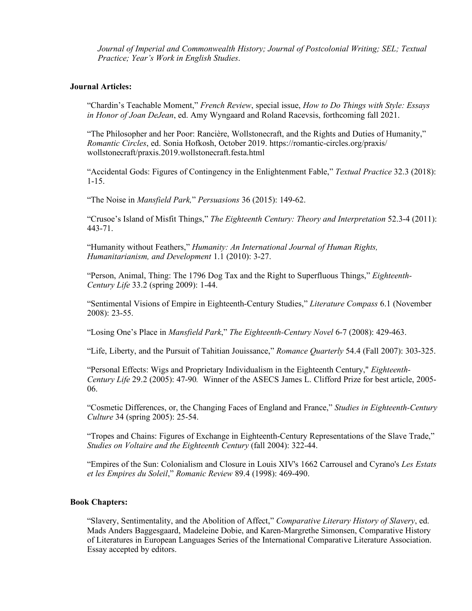*Journal of Imperial and Commonwealth History; Journal of Postcolonial Writing; SEL; Textual Practice; Year's Work in English Studies*.

# **Journal Articles:**

"Chardin's Teachable Moment," *French Review*, special issue, *How to Do Things with Style: Essays in Honor of Joan DeJean*, ed. Amy Wyngaard and Roland Racevsis, forthcoming fall 2021.

"The Philosopher and her Poor: Rancière, Wollstonecraft, and the Rights and Duties of Humanity," *Romantic Circles*, ed. Sonia Hofkosh, October 2019. https://romantic-circles.org/praxis/ wollstonecraft/praxis.2019.wollstonecraft.festa.html

"Accidental Gods: Figures of Contingency in the Enlightenment Fable," *Textual Practice* 32.3 (2018): 1-15.

"The Noise in *Mansfield Park,*" *Persuasions* 36 (2015): 149-62.

"Crusoe's Island of Misfit Things," *The Eighteenth Century: Theory and Interpretation* 52.3-4 (2011): 443-71.

"Humanity without Feathers," *Humanity: An International Journal of Human Rights, Humanitarianism, and Development* 1.1 (2010): 3-27.

"Person, Animal, Thing: The 1796 Dog Tax and the Right to Superfluous Things," *Eighteenth-Century Life* 33.2 (spring 2009): 1-44.

"Sentimental Visions of Empire in Eighteenth-Century Studies," *Literature Compass* 6.1 (November 2008): 23-55.

"Losing One's Place in *Mansfield Park*," *The Eighteenth-Century Novel* 6-7 (2008): 429-463.

"Life, Liberty, and the Pursuit of Tahitian Jouissance," *Romance Quarterly* 54.4 (Fall 2007): 303-325.

"Personal Effects: Wigs and Proprietary Individualism in the Eighteenth Century," *Eighteenth-Century Life* 29.2 (2005): 47-90*.* Winner of the ASECS James L. Clifford Prize for best article, 2005- 06.

"Cosmetic Differences, or, the Changing Faces of England and France," *Studies in Eighteenth-Century Culture* 34 (spring 2005): 25-54.

"Tropes and Chains: Figures of Exchange in Eighteenth-Century Representations of the Slave Trade," *Studies on Voltaire and the Eighteenth Century* (fall 2004): 322-44.

"Empires of the Sun: Colonialism and Closure in Louis XIV's 1662 Carrousel and Cyrano's *Les Estats et les Empires du Soleil*," *Romanic Review* 89.4 (1998): 469-490.

## **Book Chapters:**

"Slavery, Sentimentality, and the Abolition of Affect," *Comparative Literary History of Slavery*, ed. Mads Anders Baggesgaard, Madeleine Dobie, and Karen-Margrethe Simonsen, Comparative History of Literatures in European Languages Series of the International Comparative Literature Association. Essay accepted by editors.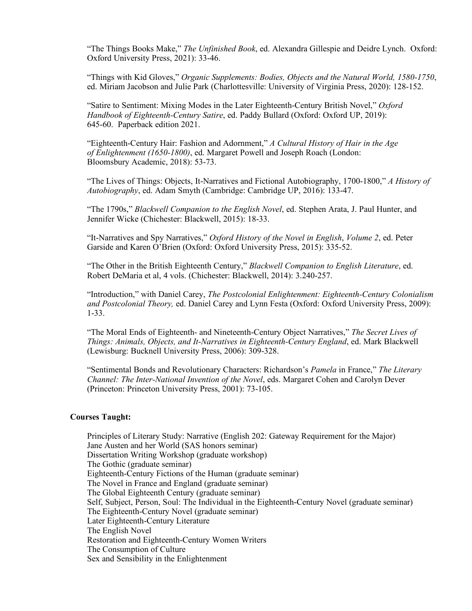"The Things Books Make," *The Unfinished Book*, ed. Alexandra Gillespie and Deidre Lynch. Oxford: Oxford University Press, 2021): 33-46.

"Things with Kid Gloves," *Organic Supplements: Bodies, Objects and the Natural World, 1580-1750*, ed. Miriam Jacobson and Julie Park (Charlottesville: University of Virginia Press, 2020): 128-152.

"Satire to Sentiment: Mixing Modes in the Later Eighteenth-Century British Novel," *Oxford Handbook of Eighteenth-Century Satire*, ed. Paddy Bullard (Oxford: Oxford UP, 2019): 645-60. Paperback edition 2021.

"Eighteenth-Century Hair: Fashion and Adornment," *A Cultural History of Hair in the Age of Enlightenment (1650-1800)*, ed. Margaret Powell and Joseph Roach (London: Bloomsbury Academic, 2018): 53-73.

"The Lives of Things: Objects, It-Narratives and Fictional Autobiography, 1700-1800," *A History of Autobiography*, ed. Adam Smyth (Cambridge: Cambridge UP, 2016): 133-47.

"The 1790s," *Blackwell Companion to the English Novel*, ed. Stephen Arata, J. Paul Hunter, and Jennifer Wicke (Chichester: Blackwell, 2015): 18-33.

"It-Narratives and Spy Narratives," *Oxford History of the Novel in English*, *Volume 2*, ed. Peter Garside and Karen O'Brien (Oxford: Oxford University Press, 2015): 335-52.

"The Other in the British Eighteenth Century," *Blackwell Companion to English Literature*, ed. Robert DeMaria et al, 4 vols. (Chichester: Blackwell, 2014): 3.240-257.

"Introduction," with Daniel Carey, *The Postcolonial Enlightenment: Eighteenth-Century Colonialism and Postcolonial Theory,* ed. Daniel Carey and Lynn Festa (Oxford: Oxford University Press, 2009): 1-33.

"The Moral Ends of Eighteenth- and Nineteenth-Century Object Narratives," *The Secret Lives of Things: Animals, Objects, and It-Narratives in Eighteenth-Century England*, ed. Mark Blackwell (Lewisburg: Bucknell University Press, 2006): 309-328.

"Sentimental Bonds and Revolutionary Characters: Richardson's *Pamela* in France," *The Literary Channel: The Inter-National Invention of the Novel*, eds. Margaret Cohen and Carolyn Dever (Princeton: Princeton University Press, 2001): 73-105.

## **Courses Taught:**

Principles of Literary Study: Narrative (English 202: Gateway Requirement for the Major) Jane Austen and her World (SAS honors seminar) Dissertation Writing Workshop (graduate workshop) The Gothic (graduate seminar) Eighteenth-Century Fictions of the Human (graduate seminar) The Novel in France and England (graduate seminar) The Global Eighteenth Century (graduate seminar) Self, Subject, Person, Soul: The Individual in the Eighteenth-Century Novel (graduate seminar) The Eighteenth-Century Novel (graduate seminar) Later Eighteenth-Century Literature The English Novel Restoration and Eighteenth-Century Women Writers The Consumption of Culture Sex and Sensibility in the Enlightenment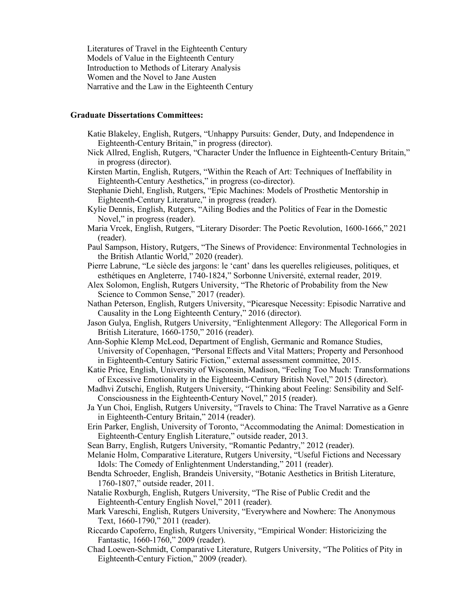Literatures of Travel in the Eighteenth Century Models of Value in the Eighteenth Century Introduction to Methods of Literary Analysis Women and the Novel to Jane Austen Narrative and the Law in the Eighteenth Century

# **Graduate Dissertations Committees:**

- Katie Blakeley, English, Rutgers, "Unhappy Pursuits: Gender, Duty, and Independence in Eighteenth-Century Britain," in progress (director).
- Nick Allred, English, Rutgers, "Character Under the Influence in Eighteenth-Century Britain," in progress (director).
- Kirsten Martin, English, Rutgers, "Within the Reach of Art: Techniques of Ineffability in Eighteenth-Century Aesthetics," in progress (co-director).
- Stephanie Diehl, English, Rutgers, "Epic Machines: Models of Prosthetic Mentorship in Eighteenth-Century Literature," in progress (reader).
- Kylie Dennis, English, Rutgers, "Ailing Bodies and the Politics of Fear in the Domestic Novel," in progress (reader).
- Maria Vrcek, English, Rutgers, "Literary Disorder: The Poetic Revolution, 1600-1666," 2021 (reader).
- Paul Sampson, History, Rutgers, "The Sinews of Providence: Environmental Technologies in the British Atlantic World," 2020 (reader).
- Pierre Labrune, "Le siècle des jargons: le 'cant' dans les querelles religieuses, politiques, et esthétiques en Angleterre, 1740-1824," Sorbonne Université, external reader, 2019.
- Alex Solomon, English, Rutgers University, "The Rhetoric of Probability from the New Science to Common Sense," 2017 (reader).
- Nathan Peterson, English, Rutgers University, "Picaresque Necessity: Episodic Narrative and Causality in the Long Eighteenth Century," 2016 (director).
- Jason Gulya, English, Rutgers University, "Enlightenment Allegory: The Allegorical Form in British Literature, 1660-1750," 2016 (reader).
- Ann-Sophie Klemp McLeod, Department of English, Germanic and Romance Studies, University of Copenhagen, "Personal Effects and Vital Matters; Property and Personhood in Eighteenth-Century Satiric Fiction," external assessment committee, 2015.
- Katie Price, English, University of Wisconsin, Madison, "Feeling Too Much: Transformations of Excessive Emotionality in the Eighteenth-Century British Novel," 2015 (director).
- Madhvi Zutschi, English, Rutgers University, "Thinking about Feeling: Sensibility and Self-Consciousness in the Eighteenth-Century Novel," 2015 (reader).
- Ja Yun Choi, English, Rutgers University, "Travels to China: The Travel Narrative as a Genre in Eighteenth-Century Britain," 2014 (reader).
- Erin Parker, English, University of Toronto, "Accommodating the Animal: Domestication in Eighteenth-Century English Literature," outside reader, 2013.
- Sean Barry, English, Rutgers University, "Romantic Pedantry," 2012 (reader).
- Melanie Holm, Comparative Literature, Rutgers University, "Useful Fictions and Necessary Idols: The Comedy of Enlightenment Understanding," 2011 (reader).
- Bendta Schroeder, English, Brandeis University, "Botanic Aesthetics in British Literature, 1760-1807," outside reader, 2011.
- Natalie Roxburgh, English, Rutgers University, "The Rise of Public Credit and the Eighteenth-Century English Novel," 2011 (reader).
- Mark Vareschi, English, Rutgers University, "Everywhere and Nowhere: The Anonymous Text, 1660-1790," 2011 (reader).
- Riccardo Capoferro, English, Rutgers University, "Empirical Wonder: Historicizing the Fantastic, 1660-1760," 2009 (reader).
- Chad Loewen-Schmidt, Comparative Literature, Rutgers University, "The Politics of Pity in Eighteenth-Century Fiction," 2009 (reader).